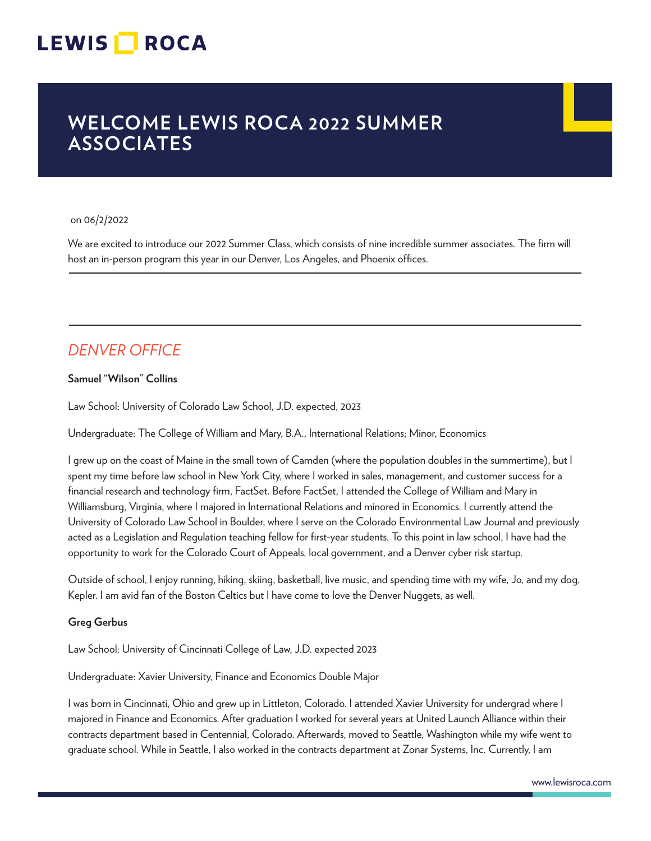## **LEWIS OR ROCA**

## **WELCOME LEWIS ROCA 2022 SUMMER ASSOCIATES**

#### on 06/2/2022

We are excited to introduce our 2022 Summer Class, which consists of nine incredible summer associates. The firm will host an in-person program this year in our Denver, Los Angeles, and Phoenix offices.  $\overline{a}$ 

## *DENVER OFFICE*

## **Samuel "Wilson" Collins**

Law School: University of Colorado Law School, J.D. expected, 2023

Undergraduate: The College of William and Mary, B.A., International Relations; Minor, Economics

I grew up on the coast of Maine in the small town of Camden (where the population doubles in the summertime), but I spent my time before law school in New York City, where I worked in sales, management, and customer success for a financial research and technology firm, FactSet. Before FactSet, I attended the College of William and Mary in Williamsburg, Virginia, where I majored in International Relations and minored in Economics. I currently attend the University of Colorado Law School in Boulder, where I serve on the Colorado Environmental Law Journal and previously acted as a Legislation and Regulation teaching fellow for first-year students. To this point in law school, I have had the opportunity to work for the Colorado Court of Appeals, local government, and a Denver cyber risk startup.

Outside of school, I enjoy running, hiking, skiing, basketball, live music, and spending time with my wife, Jo, and my dog, Kepler. I am avid fan of the Boston Celtics but I have come to love the Denver Nuggets, as well.

## **Greg Gerbus**

Law School: University of Cincinnati College of Law, J.D. expected 2023

Undergraduate: Xavier University, Finance and Economics Double Major

I was born in Cincinnati, Ohio and grew up in Littleton, Colorado. I attended Xavier University for undergrad where I majored in Finance and Economics. After graduation I worked for several years at United Launch Alliance within their contracts department based in Centennial, Colorado. Afterwards, moved to Seattle, Washington while my wife went to graduate school. While in Seattle, I also worked in the contracts department at Zonar Systems, Inc. Currently, I am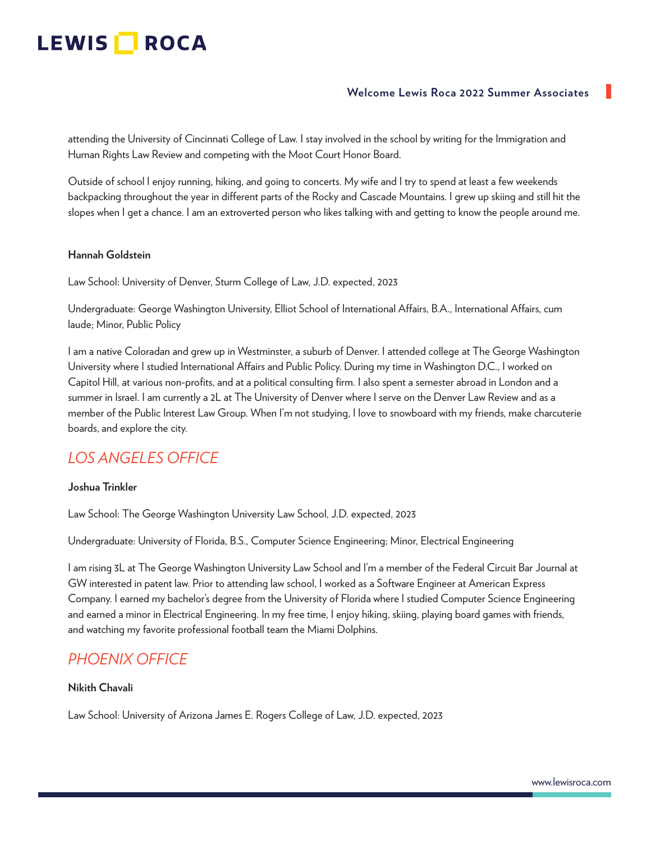## **LEWIS NOCA**

## **Welcome Lewis Roca 2022 Summer Associates**

attending the University of Cincinnati College of Law. I stay involved in the school by writing for the Immigration and Human Rights Law Review and competing with the Moot Court Honor Board.

Outside of school I enjoy running, hiking, and going to concerts. My wife and I try to spend at least a few weekends backpacking throughout the year in different parts of the Rocky and Cascade Mountains. I grew up skiing and still hit the slopes when I get a chance. I am an extroverted person who likes talking with and getting to know the people around me.

### **Hannah Goldstein**

Law School: University of Denver, Sturm College of Law, J.D. expected, 2023

Undergraduate: George Washington University, Elliot School of International Affairs, B.A., International Affairs, cum laude; Minor, Public Policy

I am a native Coloradan and grew up in Westminster, a suburb of Denver. I attended college at The George Washington University where I studied International Affairs and Public Policy. During my time in Washington D.C., I worked on Capitol Hill, at various non-profits, and at a political consulting firm. I also spent a semester abroad in London and a summer in Israel. I am currently a 2L at The University of Denver where I serve on the Denver Law Review and as a member of the Public Interest Law Group. When I'm not studying, I love to snowboard with my friends, make charcuterie boards, and explore the city.

## *LOS ANGELES OFFICE*

## **Joshua Trinkler**

Law School: The George Washington University Law School, J.D. expected, 2023

Undergraduate: University of Florida, B.S., Computer Science Engineering; Minor, Electrical Engineering

I am rising 3L at The George Washington University Law School and I'm a member of the Federal Circuit Bar Journal at GW interested in patent law. Prior to attending law school, I worked as a Software Engineer at American Express Company. I earned my bachelor's degree from the University of Florida where I studied Computer Science Engineering and earned a minor in Electrical Engineering. In my free time, I enjoy hiking, skiing, playing board games with friends, and watching my favorite professional football team the Miami Dolphins.

## *PHOENIX OFFICE*

#### **Nikith Chavali**

Law School: University of Arizona James E. Rogers College of Law, J.D. expected, 2023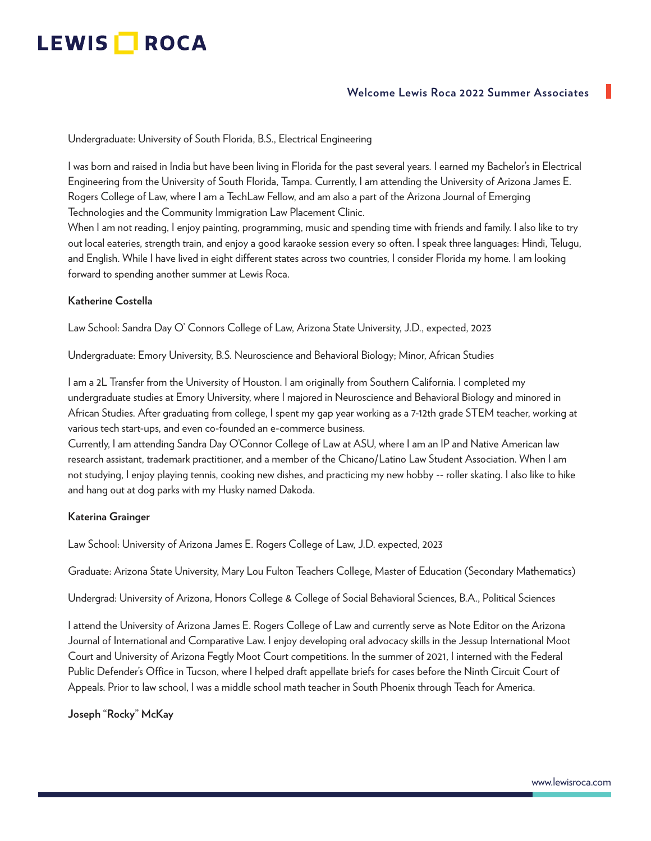# LEWIS **NOCA**

## **Welcome Lewis Roca 2022 Summer Associates**

Undergraduate: University of South Florida, B.S., Electrical Engineering

I was born and raised in India but have been living in Florida for the past several years. I earned my Bachelor's in Electrical Engineering from the University of South Florida, Tampa. Currently, I am attending the University of Arizona James E. Rogers College of Law, where I am a TechLaw Fellow, and am also a part of the Arizona Journal of Emerging Technologies and the Community Immigration Law Placement Clinic.

When I am not reading, I enjoy painting, programming, music and spending time with friends and family. I also like to try out local eateries, strength train, and enjoy a good karaoke session every so often. I speak three languages: Hindi, Telugu, and English. While I have lived in eight different states across two countries, I consider Florida my home. I am looking forward to spending another summer at Lewis Roca.

## **Katherine Costella**

Law School: Sandra Day O' Connors College of Law, Arizona State University, J.D., expected, 2023

Undergraduate: Emory University, B.S. Neuroscience and Behavioral Biology; Minor, African Studies

I am a 2L Transfer from the University of Houston. I am originally from Southern California. I completed my undergraduate studies at Emory University, where I majored in Neuroscience and Behavioral Biology and minored in African Studies. After graduating from college, I spent my gap year working as a 7-12th grade STEM teacher, working at various tech start-ups, and even co-founded an e-commerce business.

Currently, I am attending Sandra Day O'Connor College of Law at ASU, where I am an IP and Native American law research assistant, trademark practitioner, and a member of the Chicano/Latino Law Student Association. When I am not studying, I enjoy playing tennis, cooking new dishes, and practicing my new hobby -- roller skating. I also like to hike and hang out at dog parks with my Husky named Dakoda.

#### **Katerina Grainger**

Law School: University of Arizona James E. Rogers College of Law, J.D. expected, 2023

Graduate: Arizona State University, Mary Lou Fulton Teachers College, Master of Education (Secondary Mathematics)

Undergrad: University of Arizona, Honors College & College of Social Behavioral Sciences, B.A., Political Sciences

I attend the University of Arizona James E. Rogers College of Law and currently serve as Note Editor on the Arizona Journal of International and Comparative Law. I enjoy developing oral advocacy skills in the Jessup International Moot Court and University of Arizona Fegtly Moot Court competitions. In the summer of 2021, I interned with the Federal Public Defender's Office in Tucson, where I helped draft appellate briefs for cases before the Ninth Circuit Court of Appeals. Prior to law school, I was a middle school math teacher in South Phoenix through Teach for America.

## **Joseph "Rocky" McKay**